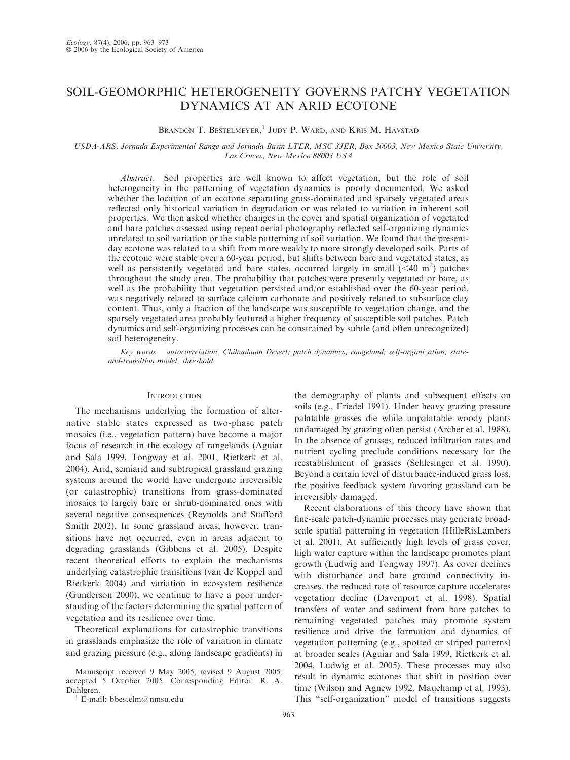# SOIL-GEOMORPHIC HETEROGENEITY GOVERNS PATCHY VEGETATION DYNAMICS AT AN ARID ECOTONE

# BRANDON T. BESTELMEYER,<sup>1</sup> JUDY P. WARD, AND KRIS M. HAVSTAD

### USDA-ARS, Jornada Experimental Range and Jornada Basin LTER, MSC 3JER, Box 30003, New Mexico State University, Las Cruces, New Mexico 88003 USA

Abstract. Soil properties are well known to affect vegetation, but the role of soil heterogeneity in the patterning of vegetation dynamics is poorly documented. We asked whether the location of an ecotone separating grass-dominated and sparsely vegetated areas reflected only historical variation in degradation or was related to variation in inherent soil properties. We then asked whether changes in the cover and spatial organization of vegetated and bare patches assessed using repeat aerial photography reflected self-organizing dynamics unrelated to soil variation or the stable patterning of soil variation. We found that the presentday ecotone was related to a shift from more weakly to more strongly developed soils. Parts of the ecotone were stable over a 60-year period, but shifts between bare and vegetated states, as well as persistently vegetated and bare states, occurred largely in small  $(< 40 \text{ m}^2)$  patches throughout the study area. The probability that patches were presently vegetated or bare, as well as the probability that vegetation persisted and/or established over the 60-year period, was negatively related to surface calcium carbonate and positively related to subsurface clay content. Thus, only a fraction of the landscape was susceptible to vegetation change, and the sparsely vegetated area probably featured a higher frequency of susceptible soil patches. Patch dynamics and self-organizing processes can be constrained by subtle (and often unrecognized) soil heterogeneity.

Key words: autocorrelation; Chihuahuan Desert; patch dynamics; rangeland; self-organization; stateand-transition model; threshold.

### **INTRODUCTION**

The mechanisms underlying the formation of alternative stable states expressed as two-phase patch mosaics (i.e., vegetation pattern) have become a major focus of research in the ecology of rangelands (Aguiar and Sala 1999, Tongway et al. 2001, Rietkerk et al. 2004). Arid, semiarid and subtropical grassland grazing systems around the world have undergone irreversible (or catastrophic) transitions from grass-dominated mosaics to largely bare or shrub-dominated ones with several negative consequences (Reynolds and Stafford Smith 2002). In some grassland areas, however, transitions have not occurred, even in areas adjacent to degrading grasslands (Gibbens et al. 2005). Despite recent theoretical efforts to explain the mechanisms underlying catastrophic transitions (van de Koppel and Rietkerk 2004) and variation in ecosystem resilience (Gunderson 2000), we continue to have a poor understanding of the factors determining the spatial pattern of vegetation and its resilience over time.

Theoretical explanations for catastrophic transitions in grasslands emphasize the role of variation in climate and grazing pressure (e.g., along landscape gradients) in

Manuscript received 9 May 2005; revised 9 August 2005; accepted 5 October 2005. Corresponding Editor: R. A.

 $\overline{E}$ -mail: bbestelm@nmsu.edu

the demography of plants and subsequent effects on soils (e.g., Friedel 1991). Under heavy grazing pressure palatable grasses die while unpalatable woody plants undamaged by grazing often persist (Archer et al. 1988). In the absence of grasses, reduced infiltration rates and nutrient cycling preclude conditions necessary for the reestablishment of grasses (Schlesinger et al. 1990). Beyond a certain level of disturbance-induced grass loss, the positive feedback system favoring grassland can be irreversibly damaged.

Recent elaborations of this theory have shown that fine-scale patch-dynamic processes may generate broadscale spatial patterning in vegetation (HilleRisLambers et al. 2001). At sufficiently high levels of grass cover, high water capture within the landscape promotes plant growth (Ludwig and Tongway 1997). As cover declines with disturbance and bare ground connectivity increases, the reduced rate of resource capture accelerates vegetation decline (Davenport et al. 1998). Spatial transfers of water and sediment from bare patches to remaining vegetated patches may promote system resilience and drive the formation and dynamics of vegetation patterning (e.g., spotted or striped patterns) at broader scales (Aguiar and Sala 1999, Rietkerk et al. 2004, Ludwig et al. 2005). These processes may also result in dynamic ecotones that shift in position over time (Wilson and Agnew 1992, Mauchamp et al. 1993). This ''self-organization'' model of transitions suggests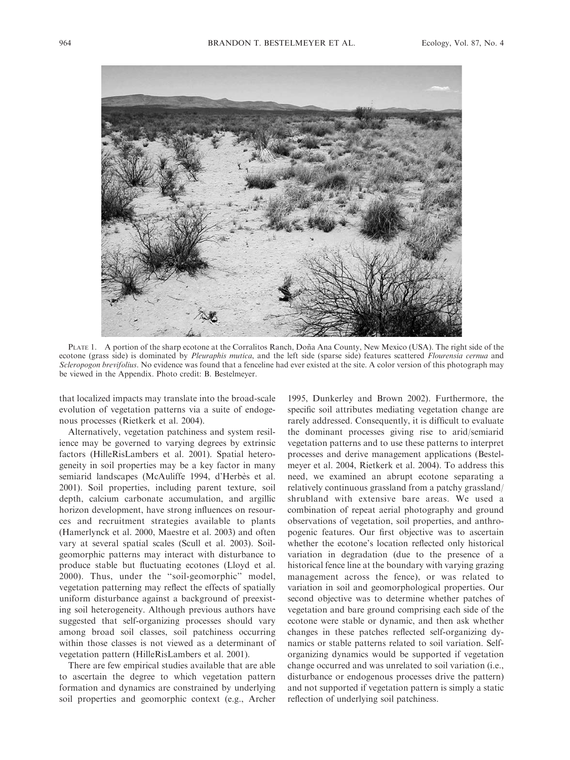

PLATE 1. A portion of the sharp ecotone at the Corralitos Ranch, Doña Ana County, New Mexico (USA). The right side of the ecotone (grass side) is dominated by *Pleuraphis mutica*, and the left side (sparse side) features scattered *Flourensia cernua* and Scleropogon brevifolius. No evidence was found that a fenceline had ever existed at the site. A color version of this photograph may be viewed in the Appendix. Photo credit: B. Bestelmeyer.

that localized impacts may translate into the broad-scale evolution of vegetation patterns via a suite of endogenous processes (Rietkerk et al. 2004).

Alternatively, vegetation patchiness and system resilience may be governed to varying degrees by extrinsic factors (HilleRisLambers et al. 2001). Spatial heterogeneity in soil properties may be a key factor in many semiarid landscapes (McAuliffe 1994, d'Herbès et al. 2001). Soil properties, including parent texture, soil depth, calcium carbonate accumulation, and argillic horizon development, have strong influences on resources and recruitment strategies available to plants (Hamerlynck et al. 2000, Maestre et al. 2003) and often vary at several spatial scales (Scull et al. 2003). Soilgeomorphic patterns may interact with disturbance to produce stable but fluctuating ecotones (Lloyd et al. 2000). Thus, under the ''soil-geomorphic'' model, vegetation patterning may reflect the effects of spatially uniform disturbance against a background of preexisting soil heterogeneity. Although previous authors have suggested that self-organizing processes should vary among broad soil classes, soil patchiness occurring within those classes is not viewed as a determinant of vegetation pattern (HilleRisLambers et al. 2001).

There are few empirical studies available that are able to ascertain the degree to which vegetation pattern formation and dynamics are constrained by underlying soil properties and geomorphic context (e.g., Archer

1995, Dunkerley and Brown 2002). Furthermore, the specific soil attributes mediating vegetation change are rarely addressed. Consequently, it is difficult to evaluate the dominant processes giving rise to arid/semiarid vegetation patterns and to use these patterns to interpret processes and derive management applications (Bestelmeyer et al. 2004, Rietkerk et al. 2004). To address this need, we examined an abrupt ecotone separating a relatively continuous grassland from a patchy grassland/ shrubland with extensive bare areas. We used a combination of repeat aerial photography and ground observations of vegetation, soil properties, and anthropogenic features. Our first objective was to ascertain whether the ecotone's location reflected only historical variation in degradation (due to the presence of a historical fence line at the boundary with varying grazing management across the fence), or was related to variation in soil and geomorphological properties. Our second objective was to determine whether patches of vegetation and bare ground comprising each side of the ecotone were stable or dynamic, and then ask whether changes in these patches reflected self-organizing dynamics or stable patterns related to soil variation. Selforganizing dynamics would be supported if vegetation change occurred and was unrelated to soil variation (i.e., disturbance or endogenous processes drive the pattern) and not supported if vegetation pattern is simply a static reflection of underlying soil patchiness.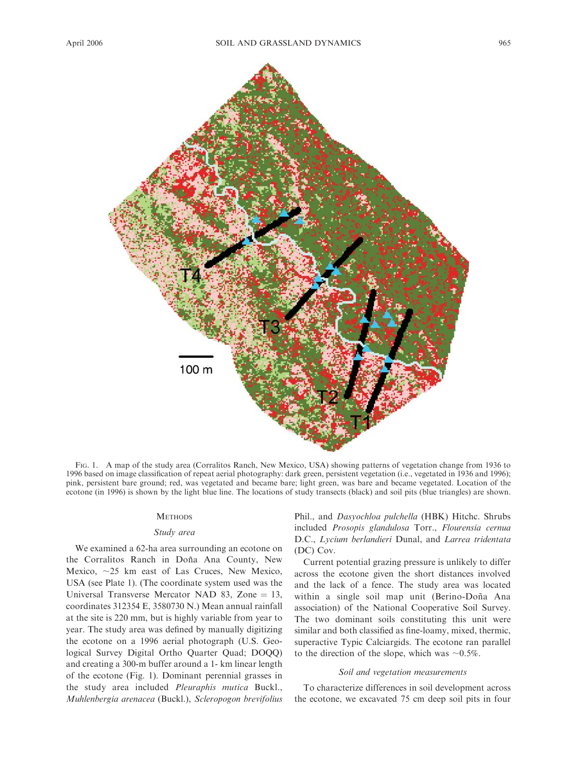

FIG. 1. A map of the study area (Corralitos Ranch, New Mexico, USA) showing patterns of vegetation change from 1936 to 1996 based on image classification of repeat aerial photography: dark green, persistent vegetation (i.e., vegetated in 1936 and 1996); pink, persistent bare ground; red, was vegetated and became bare; light green, was bare and became vegetated. Location of the ecotone (in 1996) is shown by the light blue line. The locations of study transects (black) and soil pits (blue triangles) are shown.

#### **METHODS**

### Study area

We examined a 62-ha area surrounding an ecotone on the Corralitos Ranch in Doña Ana County, New Mexico,  $\sim$ 25 km east of Las Cruces, New Mexico, USA (see Plate 1). (The coordinate system used was the Universal Transverse Mercator NAD 83, Zone  $= 13$ , coordinates 312354 E, 3580730 N.) Mean annual rainfall at the site is 220 mm, but is highly variable from year to year. The study area was defined by manually digitizing the ecotone on a 1996 aerial photograph (U.S. Geological Survey Digital Ortho Quarter Quad; DOQQ) and creating a 300-m buffer around a 1- km linear length of the ecotone (Fig. 1). Dominant perennial grasses in the study area included Pleuraphis mutica Buckl., Muhlenbergia arenacea (Buckl.), Scleropogon brevifolius Phil., and Dasyochloa pulchella (HBK) Hitchc. Shrubs included Prosopis glandulosa Torr., Flourensia cernua D.C., Lycium berlandieri Dunal, and Larrea tridentata (DC) Cov.

Current potential grazing pressure is unlikely to differ across the ecotone given the short distances involved and the lack of a fence. The study area was located within a single soil map unit (Berino-Doña Ana association) of the National Cooperative Soil Survey. The two dominant soils constituting this unit were similar and both classified as fine-loamy, mixed, thermic, superactive Typic Calciargids. The ecotone ran parallel to the direction of the slope, which was  $\sim 0.5\%$ .

### Soil and vegetation measurements

To characterize differences in soil development across the ecotone, we excavated 75 cm deep soil pits in four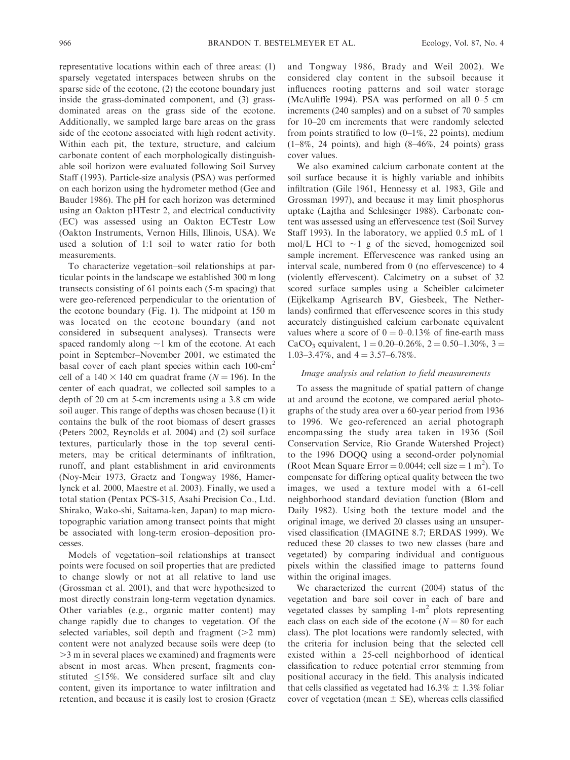representative locations within each of three areas: (1) sparsely vegetated interspaces between shrubs on the sparse side of the ecotone, (2) the ecotone boundary just inside the grass-dominated component, and (3) grassdominated areas on the grass side of the ecotone. Additionally, we sampled large bare areas on the grass side of the ecotone associated with high rodent activity. Within each pit, the texture, structure, and calcium carbonate content of each morphologically distinguishable soil horizon were evaluated following Soil Survey Staff (1993). Particle-size analysis (PSA) was performed on each horizon using the hydrometer method (Gee and Bauder 1986). The pH for each horizon was determined using an Oakton pHTestr 2, and electrical conductivity (EC) was assessed using an Oakton ECTestr Low (Oakton Instruments, Vernon Hills, Illinois, USA). We used a solution of 1:1 soil to water ratio for both measurements.

To characterize vegetation–soil relationships at particular points in the landscape we established 300 m long transects consisting of 61 points each (5-m spacing) that were geo-referenced perpendicular to the orientation of the ecotone boundary (Fig. 1). The midpoint at 150 m was located on the ecotone boundary (and not considered in subsequent analyses). Transects were spaced randomly along  $\sim$ 1 km of the ecotone. At each point in September–November 2001, we estimated the basal cover of each plant species within each 100-cm<sup>2</sup> cell of a 140  $\times$  140 cm quadrat frame (N = 196). In the center of each quadrat, we collected soil samples to a depth of 20 cm at 5-cm increments using a 3.8 cm wide soil auger. This range of depths was chosen because (1) it contains the bulk of the root biomass of desert grasses (Peters 2002, Reynolds et al. 2004) and (2) soil surface textures, particularly those in the top several centimeters, may be critical determinants of infiltration, runoff, and plant establishment in arid environments (Noy-Meir 1973, Graetz and Tongway 1986, Hamerlynck et al. 2000, Maestre et al. 2003). Finally, we used a total station (Pentax PCS-315, Asahi Precision Co., Ltd. Shirako, Wako-shi, Saitama-ken, Japan) to map microtopographic variation among transect points that might be associated with long-term erosion–deposition processes.

Models of vegetation–soil relationships at transect points were focused on soil properties that are predicted to change slowly or not at all relative to land use (Grossman et al. 2001), and that were hypothesized to most directly constrain long-term vegetation dynamics. Other variables (e.g., organic matter content) may change rapidly due to changes to vegetation. Of the selected variables, soil depth and fragment  $(>2$  mm) content were not analyzed because soils were deep (to .3 m in several places we examined) and fragments were absent in most areas. When present, fragments constituted  $\leq$ 15%. We considered surface silt and clay content, given its importance to water infiltration and retention, and because it is easily lost to erosion (Graetz and Tongway 1986, Brady and Weil 2002). We considered clay content in the subsoil because it influences rooting patterns and soil water storage (McAuliffe 1994). PSA was performed on all 0–5 cm increments (240 samples) and on a subset of 70 samples for 10–20 cm increments that were randomly selected from points stratified to low  $(0-1\%, 22 \text{ points})$ , medium  $(1–8\%, 24 \text{ points})$ , and high  $(8–46\%, 24 \text{ points})$  grass cover values.

We also examined calcium carbonate content at the soil surface because it is highly variable and inhibits infiltration (Gile 1961, Hennessy et al. 1983, Gile and Grossman 1997), and because it may limit phosphorus uptake (Lajtha and Schlesinger 1988). Carbonate content was assessed using an effervescence test (Soil Survey Staff 1993). In the laboratory, we applied 0.5 mL of 1 mol/L HCl to  $\sim$ 1 g of the sieved, homogenized soil sample increment. Effervescence was ranked using an interval scale, numbered from 0 (no effervescence) to 4 (violently effervescent). Calcimetry on a subset of 32 scored surface samples using a Scheibler calcimeter (Eijkelkamp Agrisearch BV, Giesbeek, The Netherlands) confirmed that effervescence scores in this study accurately distinguished calcium carbonate equivalent values where a score of  $0 = 0-0.13\%$  of fine-earth mass CaCO<sub>3</sub> equivalent,  $1 = 0.20{\text -}0.26\%, 2 = 0.50{\text -}1.30\%, 3 =$ 1.03–3.47%, and  $4 = 3.57{\text -}6.78\%$ .

### Image analysis and relation to field measurements

To assess the magnitude of spatial pattern of change at and around the ecotone, we compared aerial photographs of the study area over a 60-year period from 1936 to 1996. We geo-referenced an aerial photograph encompassing the study area taken in 1936 (Soil Conservation Service, Rio Grande Watershed Project) to the 1996 DOQQ using a second-order polynomial (Root Mean Square Error =  $0.0044$ ; cell size =  $1 \text{ m}^2$ ). To compensate for differing optical quality between the two images, we used a texture model with a 61-cell neighborhood standard deviation function (Blom and Daily 1982). Using both the texture model and the original image, we derived 20 classes using an unsupervised classification (IMAGINE 8.7; ERDAS 1999). We reduced these 20 classes to two new classes (bare and vegetated) by comparing individual and contiguous pixels within the classified image to patterns found within the original images.

We characterized the current (2004) status of the vegetation and bare soil cover in each of bare and vegetated classes by sampling  $1-m^2$  plots representing each class on each side of the ecotone ( $N = 80$  for each class). The plot locations were randomly selected, with the criteria for inclusion being that the selected cell existed within a 25-cell neighborhood of identical classification to reduce potential error stemming from positional accuracy in the field. This analysis indicated that cells classified as vegetated had  $16.3\% \pm 1.3\%$  foliar cover of vegetation (mean  $\pm$  SE), whereas cells classified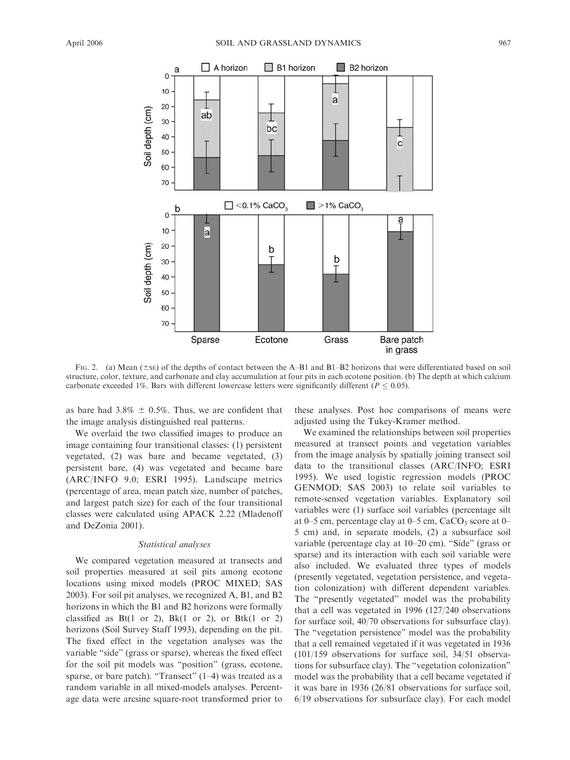

FIG. 2. (a) Mean ( $\pm$ sE) of the depths of contact between the A–B1 and B1–B2 horizons that were differentiated based on soil structure, color, texture, and carbonate and clay accumulation at four pits in each ecotone position. (b) The depth at which calcium carbonate exceeded 1%. Bars with different lowercase letters were significantly different ( $P \le 0.05$ ).

as bare had  $3.8\% \pm 0.5\%$ . Thus, we are confident that the image analysis distinguished real patterns.

We overlaid the two classified images to produce an image containing four transitional classes: (1) persistent vegetated, (2) was bare and became vegetated, (3) persistent bare, (4) was vegetated and became bare (ARC/INFO 9.0; ESRI 1995). Landscape metrics (percentage of area, mean patch size, number of patches, and largest patch size) for each of the four transitional classes were calculated using APACK 2.22 (Mladenoff and DeZonia 2001).

### Statistical analyses

We compared vegetation measured at transects and soil properties measured at soil pits among ecotone locations using mixed models (PROC MIXED; SAS 2003). For soil pit analyses, we recognized A, B1, and B2 horizons in which the B1 and B2 horizons were formally classified as  $Bt(1 \text{ or } 2)$ ,  $Bk(1 \text{ or } 2)$ , or  $Btk(1 \text{ or } 2)$ horizons (Soil Survey Staff 1993), depending on the pit. The fixed effect in the vegetation analyses was the variable "side" (grass or sparse), whereas the fixed effect for the soil pit models was ''position'' (grass, ecotone, sparse, or bare patch). "Transect" (1–4) was treated as a random variable in all mixed-models analyses. Percentage data were arcsine square-root transformed prior to these analyses. Post hoc comparisons of means were adjusted using the Tukey-Kramer method.

We examined the relationships between soil properties measured at transect points and vegetation variables from the image analysis by spatially joining transect soil data to the transitional classes (ARC/INFO; ESRI 1995). We used logistic regression models (PROC GENMOD; SAS 2003) to relate soil variables to remote-sensed vegetation variables. Explanatory soil variables were (1) surface soil variables (percentage silt at 0–5 cm, percentage clay at 0–5 cm,  $CaCO<sub>3</sub>$  score at 0– 5 cm) and, in separate models, (2) a subsurface soil variable (percentage clay at 10–20 cm). ''Side'' (grass or sparse) and its interaction with each soil variable were also included. We evaluated three types of models (presently vegetated, vegetation persistence, and vegetation colonization) with different dependent variables. The ''presently vegetated'' model was the probability that a cell was vegetated in 1996 (127/240 observations for surface soil, 40/70 observations for subsurface clay). The ''vegetation persistence'' model was the probability that a cell remained vegetated if it was vegetated in 1936 (101/159 observations for surface soil, 34/51 observations for subsurface clay). The ''vegetation colonization'' model was the probability that a cell became vegetated if it was bare in 1936 (26/81 observations for surface soil, 6/19 observations for subsurface clay). For each model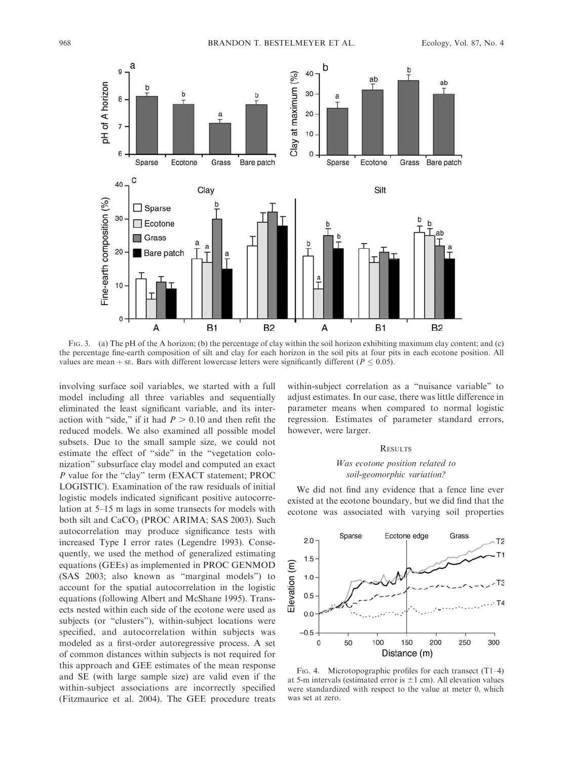

FIG. 3. (a) The pH of the A horizon; (b) the percentage of clay within the soil horizon exhibiting maximum clay content; and (c) the percentage fine-earth composition of silt and clay for each horizon in the soil pits at four pits in each ecotone position. All values are mean  $+$  se. Bars with different lowercase letters were significantly different ( $P \le 0.05$ ).

involving surface soil variables, we started with a full model including all three variables and sequentially eliminated the least significant variable, and its interaction with "side," if it had  $P > 0.10$  and then refit the reduced models. We also examined all possible model subsets. Due to the small sample size, we could not estimate the effect of ''side'' in the ''vegetation colonization'' subsurface clay model and computed an exact P value for the "clay" term (EXACT statement; PROC LOGISTIC). Examination of the raw residuals of initial logistic models indicated significant positive autocorrelation at 5–15 m lags in some transects for models with both silt and CaCO<sub>3</sub> (PROC ARIMA; SAS 2003). Such autocorrelation may produce significance tests with increased Type I error rates (Legendre 1993). Consequently, we used the method of generalized estimating equations (GEEs) as implemented in PROC GENMOD (SAS 2003; also known as ''marginal models'') to account for the spatial autocorrelation in the logistic equations (following Albert and McShane 1995). Transects nested within each side of the ecotone were used as subjects (or ''clusters''), within-subject locations were specified, and autocorrelation within subjects was modeled as a first-order autoregressive process. A set of common distances within subjects is not required for this approach and GEE estimates of the mean response and SE (with large sample size) are valid even if the within-subject associations are incorrectly specified (Fitzmaurice et al. 2004). The GEE procedure treats

within-subject correlation as a ''nuisance variable'' to adjust estimates. In our case, there was little difference in parameter means when compared to normal logistic regression. Estimates of parameter standard errors, however, were larger.

## **RESULTS**

### Was ecotone position related to soil-geomorphic variation?

We did not find any evidence that a fence line ever existed at the ecotone boundary, but we did find that the ecotone was associated with varying soil properties



FIG. 4. Microtopographic profiles for each transect (T1–4) at 5-m intervals (estimated error is  $\pm 1$  cm). All elevation values were standardized with respect to the value at meter 0, which was set at zero.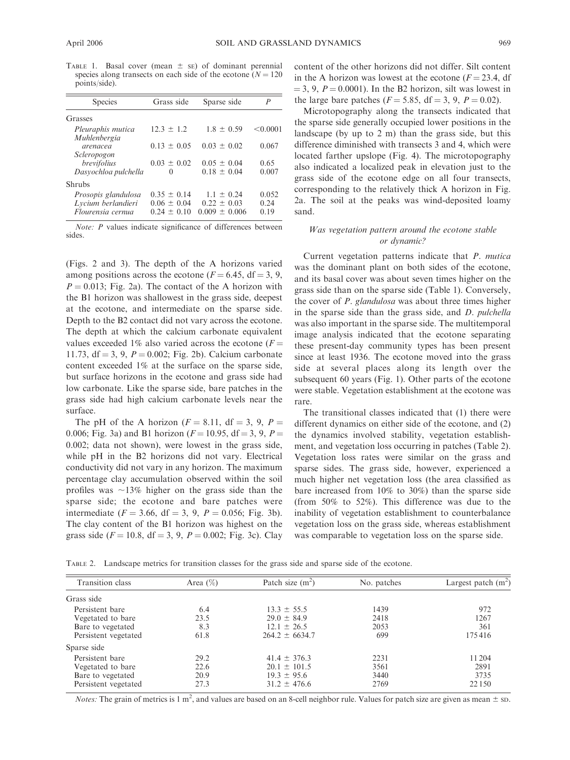TABLE 1. Basal cover (mean  $\pm$  se) of dominant perennial species along transects on each side of the ecotone ( $N = 120$ ) points/side).

| <b>Species</b>                                                 | Grass side                                          | Sparse side                                            | P                     |  |
|----------------------------------------------------------------|-----------------------------------------------------|--------------------------------------------------------|-----------------------|--|
| Grasses                                                        |                                                     |                                                        |                       |  |
| Pleuraphis mutica<br>Muhlenbergia                              | $12.3 \pm 1.2$                                      | $1.8 \pm 0.59$                                         | < 0.0001              |  |
| arenacea<br>Scleropogon                                        | $0.13 \pm 0.05$                                     | $0.03 \pm 0.02$                                        | 0.067                 |  |
| brevifolius<br>Dasyochloa pulchella                            | $0.03 \pm 0.02$<br>$\Omega$                         | $0.05 \pm 0.04$<br>$0.18 \pm 0.04$                     | 0.65<br>0.007         |  |
| Shrubs                                                         |                                                     |                                                        |                       |  |
| Prosopis glandulosa<br>Lycium berlandieri<br>Flourensia cernua | $0.35 \pm 0.14$<br>$0.06 \pm 0.04$<br>$0.24 + 0.10$ | $1.1 \pm 0.24$<br>$0.22 \pm 0.03$<br>$0.009 \pm 0.006$ | 0.052<br>0.24<br>0.19 |  |

Note: P values indicate significance of differences between sides.

(Figs. 2 and 3). The depth of the A horizons varied among positions across the ecotone ( $F = 6.45$ , df = 3, 9,  $P = 0.013$ ; Fig. 2a). The contact of the A horizon with the B1 horizon was shallowest in the grass side, deepest at the ecotone, and intermediate on the sparse side. Depth to the B2 contact did not vary across the ecotone. The depth at which the calcium carbonate equivalent values exceeded 1% also varied across the ecotone ( $F =$ 11.73, df = 3, 9,  $P = 0.002$ ; Fig. 2b). Calcium carbonate content exceeded 1% at the surface on the sparse side, but surface horizons in the ecotone and grass side had low carbonate. Like the sparse side, bare patches in the grass side had high calcium carbonate levels near the surface.

The pH of the A horizon ( $F = 8.11$ , df = 3, 9, P = 0.006; Fig. 3a) and B1 horizon ( $F = 10.95$ , df = 3, 9, P = 0.002; data not shown), were lowest in the grass side, while pH in the B2 horizons did not vary. Electrical conductivity did not vary in any horizon. The maximum percentage clay accumulation observed within the soil profiles was  $\sim$ 13% higher on the grass side than the sparse side; the ecotone and bare patches were intermediate ( $F = 3.66$ , df = 3, 9,  $P = 0.056$ ; Fig. 3b). The clay content of the B1 horizon was highest on the grass side ( $F = 10.8$ , df = 3, 9,  $P = 0.002$ ; Fig. 3c). Clay

content of the other horizons did not differ. Silt content in the A horizon was lowest at the ecotone  $(F = 23.4, df)$  $=$  3, 9,  $P = 0.0001$ ). In the B2 horizon, silt was lowest in the large bare patches ( $F = 5.85$ , df = 3, 9,  $P = 0.02$ ).

Microtopography along the transects indicated that the sparse side generally occupied lower positions in the landscape (by up to 2 m) than the grass side, but this difference diminished with transects 3 and 4, which were located farther upslope (Fig. 4). The microtopography also indicated a localized peak in elevation just to the grass side of the ecotone edge on all four transects, corresponding to the relatively thick A horizon in Fig. 2a. The soil at the peaks was wind-deposited loamy sand.

### Was vegetation pattern around the ecotone stable or dynamic?

Current vegetation patterns indicate that P. mutica was the dominant plant on both sides of the ecotone, and its basal cover was about seven times higher on the grass side than on the sparse side (Table 1). Conversely, the cover of P. glandulosa was about three times higher in the sparse side than the grass side, and D. pulchella was also important in the sparse side. The multitemporal image analysis indicated that the ecotone separating these present-day community types has been present since at least 1936. The ecotone moved into the grass side at several places along its length over the subsequent 60 years (Fig. 1). Other parts of the ecotone were stable. Vegetation establishment at the ecotone was rare.

The transitional classes indicated that (1) there were different dynamics on either side of the ecotone, and (2) the dynamics involved stability, vegetation establishment, and vegetation loss occurring in patches (Table 2). Vegetation loss rates were similar on the grass and sparse sides. The grass side, however, experienced a much higher net vegetation loss (the area classified as bare increased from 10% to 30%) than the sparse side (from 50% to 52%). This difference was due to the inability of vegetation establishment to counterbalance vegetation loss on the grass side, whereas establishment was comparable to vegetation loss on the sparse side.

TABLE 2. Landscape metrics for transition classes for the grass side and sparse side of the ecotone.

| Transition class                                                                  | Area $(\%)$                  | Patch size $(m^2)$                                                          | No. patches                  | Largest patch $(m2)$             |  |
|-----------------------------------------------------------------------------------|------------------------------|-----------------------------------------------------------------------------|------------------------------|----------------------------------|--|
| Grass side                                                                        |                              |                                                                             |                              |                                  |  |
| Persistent bare<br>Vegetated to bare<br>Bare to vegetated<br>Persistent vegetated | 6.4<br>23.5<br>8.3<br>61.8   | $13.3 \pm 55.5$<br>$29.0 \pm 84.9$<br>$12.1 \pm 26.5$<br>$264.2 \pm 6634.7$ | 1439<br>2418<br>2053<br>699  | 972<br>1267<br>361<br>175416     |  |
| Sparse side                                                                       |                              |                                                                             |                              |                                  |  |
| Persistent bare<br>Vegetated to bare<br>Bare to vegetated<br>Persistent vegetated | 29.2<br>22.6<br>20.9<br>27.3 | $41.4 \pm 376.3$<br>$20.1 \pm 101.5$<br>$19.3 \pm 95.6$<br>$31.2 \pm 476.6$ | 2231<br>3561<br>3440<br>2769 | 11 204<br>2891<br>3735<br>22 150 |  |

*Notes:* The grain of metrics is 1 m<sup>2</sup>, and values are based on an 8-cell neighbor rule. Values for patch size are given as mean  $\pm$  sp.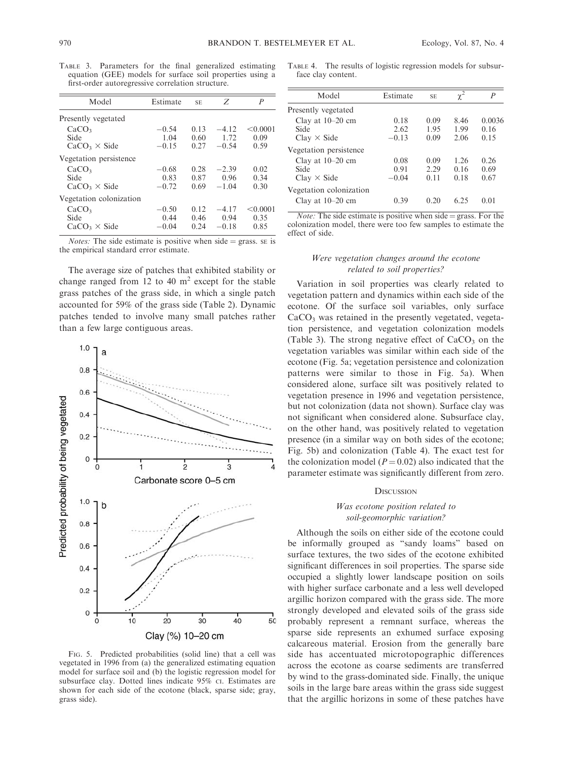|                                                   |  | TABLE 3. Parameters for the final generalized estimating  |  |
|---------------------------------------------------|--|-----------------------------------------------------------|--|
|                                                   |  | equation (GEE) models for surface soil properties using a |  |
| first-order autoregressive correlation structure. |  |                                                           |  |

| Model                   | Estimate | <b>SE</b> | Z       | P        |
|-------------------------|----------|-----------|---------|----------|
| Presently vegetated     |          |           |         |          |
| CaCO <sub>3</sub>       | $-0.54$  | 0.13      | $-4.12$ | < 0.0001 |
| Side                    | 1.04     | 0.60      | 1.72    | 0.09     |
| $CaCO3 \times Side$     | $-0.15$  | 0.27      | $-0.54$ | 0.59     |
| Vegetation persistence  |          |           |         |          |
| CaCO <sub>3</sub>       | $-0.68$  | 0.28      | $-2.39$ | 0.02     |
| Side                    | 0.83     | 0.87      | 0.96    | 0.34     |
| $CaCO3 \times Side$     | $-0.72$  | 0.69      | $-1.04$ | 0.30     |
| Vegetation colonization |          |           |         |          |
| CaCO <sub>3</sub>       | $-0.50$  | 0.12      | $-4.17$ | < 0.0001 |
| Side                    | 0.44     | 0.46      | 0.94    | 0.35     |
| $CaCO3 \times Side$     | $-0.04$  | 0.24      | $-0.18$ | 0.85     |

*Notes:* The side estimate is positive when side  $=$  grass. SE is the empirical standard error estimate.

The average size of patches that exhibited stability or change ranged from 12 to 40  $m<sup>2</sup>$  except for the stable grass patches of the grass side, in which a single patch accounted for 59% of the grass side (Table 2). Dynamic patches tended to involve many small patches rather than a few large contiguous areas.



FIG. 5. Predicted probabilities (solid line) that a cell was vegetated in 1996 from (a) the generalized estimating equation model for surface soil and (b) the logistic regression model for subsurface clay. Dotted lines indicate 95% CI. Estimates are shown for each side of the ecotone (black, sparse side; gray, grass side).

TABLE 4. The results of logistic regression models for subsurface clay content.

| Model                                                                      | Estimate                | <b>SE</b>            | $\chi^2$             | $\overline{P}$         |
|----------------------------------------------------------------------------|-------------------------|----------------------|----------------------|------------------------|
| Presently vegetated                                                        |                         |                      |                      |                        |
| Clay at $10-20$ cm<br>Side<br>$Clav \times Side$                           | 0.18<br>2.62<br>$-0.13$ | 0.09<br>195<br>0.09  | 8.46<br>1.99<br>2.06 | 0.0036<br>0.16<br>0.15 |
| Vegetation persistence<br>Clay at $10-20$ cm<br>Side<br>$Clav \times Side$ | 0.08<br>0.91<br>$-0.04$ | 0.09<br>2.29<br>0.11 | 1.26<br>0.16<br>0.18 | 0.26<br>0.69<br>0.67   |
| Vegetation colonization<br>Clay at $10-20$ cm                              | 0.39                    | 0.20                 | 6.25                 | 0.01                   |

*Note:* The side estimate is positive when side = grass. For the colonization model, there were too few samples to estimate the effect of side.

### Were vegetation changes around the ecotone related to soil properties?

Variation in soil properties was clearly related to vegetation pattern and dynamics within each side of the ecotone. Of the surface soil variables, only surface CaCO<sub>3</sub> was retained in the presently vegetated, vegetation persistence, and vegetation colonization models (Table 3). The strong negative effect of  $CaCO<sub>3</sub>$  on the vegetation variables was similar within each side of the ecotone (Fig. 5a; vegetation persistence and colonization patterns were similar to those in Fig. 5a). When considered alone, surface silt was positively related to vegetation presence in 1996 and vegetation persistence, but not colonization (data not shown). Surface clay was not significant when considered alone. Subsurface clay, on the other hand, was positively related to vegetation presence (in a similar way on both sides of the ecotone; Fig. 5b) and colonization (Table 4). The exact test for the colonization model ( $P = 0.02$ ) also indicated that the parameter estimate was significantly different from zero.

#### **DISCUSSION**

### Was ecotone position related to soil-geomorphic variation?

Although the soils on either side of the ecotone could be informally grouped as ''sandy loams'' based on surface textures, the two sides of the ecotone exhibited significant differences in soil properties. The sparse side occupied a slightly lower landscape position on soils with higher surface carbonate and a less well developed argillic horizon compared with the grass side. The more strongly developed and elevated soils of the grass side probably represent a remnant surface, whereas the sparse side represents an exhumed surface exposing calcareous material. Erosion from the generally bare side has accentuated microtopographic differences across the ecotone as coarse sediments are transferred by wind to the grass-dominated side. Finally, the unique soils in the large bare areas within the grass side suggest that the argillic horizons in some of these patches have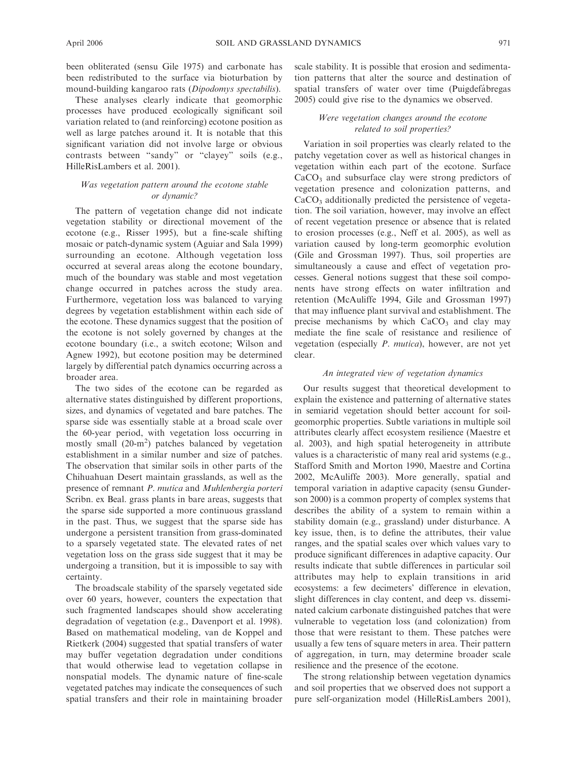been obliterated (sensu Gile 1975) and carbonate has been redistributed to the surface via bioturbation by mound-building kangaroo rats (Dipodomys spectabilis).

These analyses clearly indicate that geomorphic processes have produced ecologically significant soil variation related to (and reinforcing) ecotone position as well as large patches around it. It is notable that this significant variation did not involve large or obvious contrasts between ''sandy'' or ''clayey'' soils (e.g., HilleRisLambers et al. 2001).

# Was vegetation pattern around the ecotone stable or dynamic?

The pattern of vegetation change did not indicate vegetation stability or directional movement of the ecotone (e.g., Risser 1995), but a fine-scale shifting mosaic or patch-dynamic system (Aguiar and Sala 1999) surrounding an ecotone. Although vegetation loss occurred at several areas along the ecotone boundary, much of the boundary was stable and most vegetation change occurred in patches across the study area. Furthermore, vegetation loss was balanced to varying degrees by vegetation establishment within each side of the ecotone. These dynamics suggest that the position of the ecotone is not solely governed by changes at the ecotone boundary (i.e., a switch ecotone; Wilson and Agnew 1992), but ecotone position may be determined largely by differential patch dynamics occurring across a broader area.

The two sides of the ecotone can be regarded as alternative states distinguished by different proportions, sizes, and dynamics of vegetated and bare patches. The sparse side was essentially stable at a broad scale over the 60-year period, with vegetation loss occurring in mostly small  $(20-m^2)$  patches balanced by vegetation establishment in a similar number and size of patches. The observation that similar soils in other parts of the Chihuahuan Desert maintain grasslands, as well as the presence of remnant P. mutica and Muhlenbergia porteri Scribn. ex Beal. grass plants in bare areas, suggests that the sparse side supported a more continuous grassland in the past. Thus, we suggest that the sparse side has undergone a persistent transition from grass-dominated to a sparsely vegetated state. The elevated rates of net vegetation loss on the grass side suggest that it may be undergoing a transition, but it is impossible to say with certainty.

The broadscale stability of the sparsely vegetated side over 60 years, however, counters the expectation that such fragmented landscapes should show accelerating degradation of vegetation (e.g., Davenport et al. 1998). Based on mathematical modeling, van de Koppel and Rietkerk (2004) suggested that spatial transfers of water may buffer vegetation degradation under conditions that would otherwise lead to vegetation collapse in nonspatial models. The dynamic nature of fine-scale vegetated patches may indicate the consequences of such spatial transfers and their role in maintaining broader scale stability. It is possible that erosion and sedimentation patterns that alter the source and destination of spatial transfers of water over time (Puigdefábregas 2005) could give rise to the dynamics we observed.

## Were vegetation changes around the ecotone related to soil properties?

Variation in soil properties was clearly related to the patchy vegetation cover as well as historical changes in vegetation within each part of the ecotone. Surface CaCO<sub>3</sub> and subsurface clay were strong predictors of vegetation presence and colonization patterns, and  $CaCO<sub>3</sub>$  additionally predicted the persistence of vegetation. The soil variation, however, may involve an effect of recent vegetation presence or absence that is related to erosion processes (e.g., Neff et al. 2005), as well as variation caused by long-term geomorphic evolution (Gile and Grossman 1997). Thus, soil properties are simultaneously a cause and effect of vegetation processes. General notions suggest that these soil components have strong effects on water infiltration and retention (McAuliffe 1994, Gile and Grossman 1997) that may influence plant survival and establishment. The precise mechanisms by which  $CaCO<sub>3</sub>$  and clay may mediate the fine scale of resistance and resilience of vegetation (especially P. mutica), however, are not yet clear.

### An integrated view of vegetation dynamics

Our results suggest that theoretical development to explain the existence and patterning of alternative states in semiarid vegetation should better account for soilgeomorphic properties. Subtle variations in multiple soil attributes clearly affect ecosystem resilience (Maestre et al. 2003), and high spatial heterogeneity in attribute values is a characteristic of many real arid systems (e.g., Stafford Smith and Morton 1990, Maestre and Cortina 2002, McAuliffe 2003). More generally, spatial and temporal variation in adaptive capacity (sensu Gunderson 2000) is a common property of complex systems that describes the ability of a system to remain within a stability domain (e.g., grassland) under disturbance. A key issue, then, is to define the attributes, their value ranges, and the spatial scales over which values vary to produce significant differences in adaptive capacity. Our results indicate that subtle differences in particular soil attributes may help to explain transitions in arid ecosystems: a few decimeters' difference in elevation, slight differences in clay content, and deep vs. disseminated calcium carbonate distinguished patches that were vulnerable to vegetation loss (and colonization) from those that were resistant to them. These patches were usually a few tens of square meters in area. Their pattern of aggregation, in turn, may determine broader scale resilience and the presence of the ecotone.

The strong relationship between vegetation dynamics and soil properties that we observed does not support a pure self-organization model (HilleRisLambers 2001),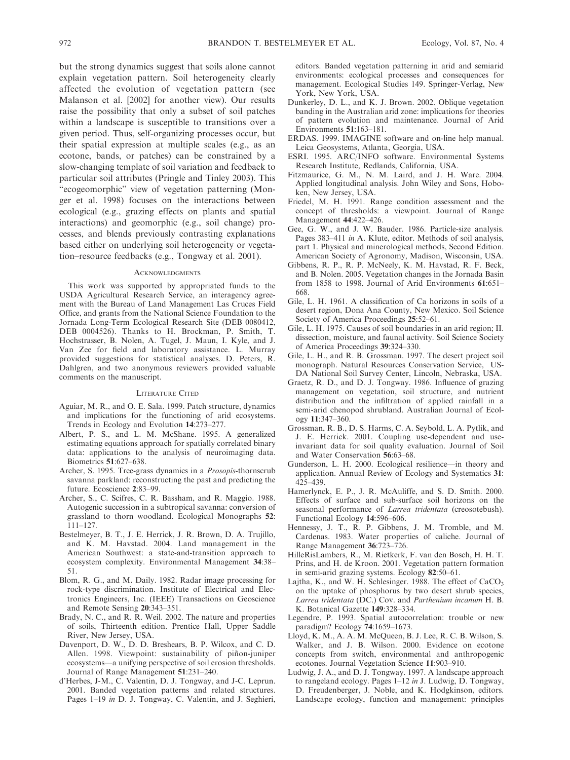but the strong dynamics suggest that soils alone cannot explain vegetation pattern. Soil heterogeneity clearly affected the evolution of vegetation pattern (see Malanson et al. [2002] for another view). Our results raise the possibility that only a subset of soil patches within a landscape is susceptible to transitions over a given period. Thus, self-organizing processes occur, but their spatial expression at multiple scales (e.g., as an ecotone, bands, or patches) can be constrained by a slow-changing template of soil variation and feedback to particular soil attributes (Pringle and Tinley 2003). This "ecogeomorphic" view of vegetation patterning (Monger et al. 1998) focuses on the interactions between ecological (e.g., grazing effects on plants and spatial interactions) and geomorphic (e.g., soil change) processes, and blends previously contrasting explanations based either on underlying soil heterogeneity or vegetation–resource feedbacks (e.g., Tongway et al. 2001).

#### **ACKNOWLEDGMENTS**

This work was supported by appropriated funds to the USDA Agricultural Research Service, an interagency agreement with the Bureau of Land Management Las Cruces Field Office, and grants from the National Science Foundation to the Jornada Long-Term Ecological Research Site (DEB 0080412, DEB 0004526). Thanks to H. Brockman, P. Smith, T. Hochstrasser, B. Nolen, A. Tugel, J. Maun, I. Kyle, and J. Van Zee for field and laboratory assistance. L. Murray provided suggestions for statistical analyses. D. Peters, R. Dahlgren, and two anonymous reviewers provided valuable comments on the manuscript.

#### LITERATURE CITED

- Aguiar, M. R., and O. E. Sala. 1999. Patch structure, dynamics and implications for the functioning of arid ecosystems. Trends in Ecology and Evolution 14:273–277.
- Albert, P. S., and L. M. McShane. 1995. A generalized estimating equations approach for spatially correlated binary data: applications to the analysis of neuroimaging data. Biometrics 51:627–638.
- Archer, S. 1995. Tree-grass dynamics in a Prosopis-thornscrub savanna parkland: reconstructing the past and predicting the future. Ecoscience 2:83–99.
- Archer, S., C. Scifres, C. R. Bassham, and R. Maggio. 1988. Autogenic succession in a subtropical savanna: conversion of grassland to thorn woodland. Ecological Monographs 52: 111–127.
- Bestelmeyer, B. T., J. E. Herrick, J. R. Brown, D. A. Trujillo, and K. M. Havstad. 2004. Land management in the American Southwest: a state-and-transition approach to ecosystem complexity. Environmental Management 34:38– 51.
- Blom, R. G., and M. Daily. 1982. Radar image processing for rock-type discrimination. Institute of Electrical and Electronics Engineers, Inc. (IEEE) Transactions on Geoscience and Remote Sensing 20:343–351.
- Brady, N. C., and R. R. Weil. 2002. The nature and properties of soils, Thirteenth edition. Prentice Hall, Upper Saddle River, New Jersey, USA.
- Davenport, D. W., D. D. Breshears, B. P. Wilcox, and C. D. Allen. 1998. Viewpoint: sustainability of piñon-juniper ecosystems—a unifying perspective of soil erosion thresholds. Journal of Range Management 51:231–240.
- d'Herbes, J-M., C. Valentin, D. J. Tongway, and J-C. Leprun. 2001. Banded vegetation patterns and related structures. Pages 1–19 in D. J. Tongway, C. Valentin, and J. Seghieri,

editors. Banded vegetation patterning in arid and semiarid environments: ecological processes and consequences for management. Ecological Studies 149. Springer-Verlag, New York, New York, USA.

- Dunkerley, D. L., and K. J. Brown. 2002. Oblique vegetation banding in the Australian arid zone: implications for theories of pattern evolution and maintenance. Journal of Arid Environments 51:163–181.
- ERDAS. 1999. IMAGINE software and on-line help manual. Leica Geosystems, Atlanta, Georgia, USA.
- ESRI. 1995. ARC/INFO software. Environmental Systems Research Institute, Redlands, California, USA.
- Fitzmaurice, G. M., N. M. Laird, and J. H. Ware. 2004. Applied longitudinal analysis. John Wiley and Sons, Hoboken, New Jersey, USA.
- Friedel, M. H. 1991. Range condition assessment and the concept of thresholds: a viewpoint. Journal of Range Management 44:422–426.
- Gee, G. W., and J. W. Bauder. 1986. Particle-size analysis. Pages 383–411 *in* A. Klute, editor. Methods of soil analysis, part 1. Physical and minerological methods, Second Edition. American Society of Agronomy, Madison, Wisconsin, USA.
- Gibbens, R. P., R. P. McNeely, K. M. Havstad, R. F. Beck, and B. Nolen. 2005. Vegetation changes in the Jornada Basin from 1858 to 1998. Journal of Arid Environments 61:651– 668.
- Gile, L. H. 1961. A classification of Ca horizons in soils of a desert region, Dona Ana County, New Mexico. Soil Science Society of America Proceedings 25:52–61.
- Gile, L. H. 1975. Causes of soil boundaries in an arid region; II. dissection, moisture, and faunal activity. Soil Science Society of America Proceedings 39:324–330.
- Gile, L. H., and R. B. Grossman. 1997. The desert project soil monograph. Natural Resources Conservation Service, US-DA National Soil Survey Center, Lincoln, Nebraska, USA.
- Graetz, R. D., and D. J. Tongway. 1986. Influence of grazing management on vegetation, soil structure, and nutrient distribution and the infiltration of applied rainfall in a semi-arid chenopod shrubland. Australian Journal of Ecology 11:347–360.
- Grossman, R. B., D. S. Harms, C. A. Seybold, L. A. Pytlik, and J. E. Herrick. 2001. Coupling use-dependent and useinvariant data for soil quality evaluation. Journal of Soil and Water Conservation 56:63–68.
- Gunderson, L. H. 2000. Ecological resilience—in theory and application. Annual Review of Ecology and Systematics 31: 425–439.
- Hamerlynck, E. P., J. R. McAuliffe, and S. D. Smith. 2000. Effects of surface and sub-surface soil horizons on the seasonal performance of *Larrea tridentata* (creosotebush). Functional Ecology 14:596–606.
- Hennessy, J. T., R. P. Gibbens, J. M. Tromble, and M. Cardenas. 1983. Water properties of caliche. Journal of Range Management 36:723–726.
- HilleRisLambers, R., M. Rietkerk, F. van den Bosch, H. H. T. Prins, and H. de Kroon. 2001. Vegetation pattern formation in semi-arid grazing systems. Ecology 82:50–61.
- Lajtha, K., and W. H. Schlesinger. 1988. The effect of  $CaCO<sub>3</sub>$ on the uptake of phosphorus by two desert shrub species, Larrea tridentata (DC.) Cov. and Parthenium incanum H. B. K. Botanical Gazette 149:328–334.
- Legendre, P. 1993. Spatial autocorrelation: trouble or new paradigm? Ecology 74:1659–1673.
- Lloyd, K. M., A. A. M. McQueen, B. J. Lee, R. C. B. Wilson, S. Walker, and J. B. Wilson. 2000. Evidence on ecotone concepts from switch, environmental and anthropogenic ecotones. Journal Vegetation Science 11:903–910.
- Ludwig, J. A., and D. J. Tongway. 1997. A landscape approach to rangeland ecology. Pages 1–12 in J. Ludwig, D. Tongway, D. Freudenberger, J. Noble, and K. Hodgkinson, editors. Landscape ecology, function and management: principles